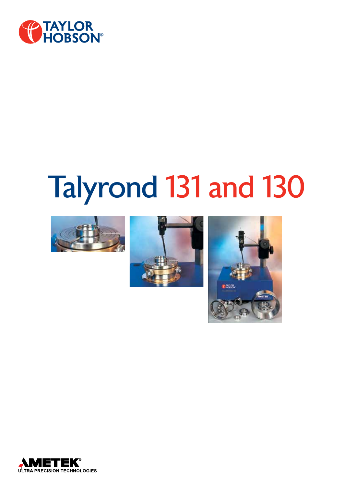

# Talyrond 131 and 130







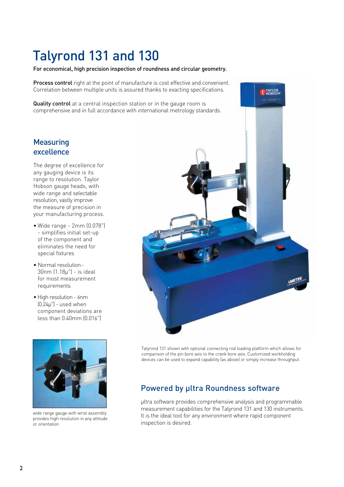# Talyrond 131 and 130

#### For economical, high precision inspection of roundness and circular geometry.

**Process control** right at the point of manufacture is cost effective and convenient. Correlation between multiple units is assured thanks to exacting specifications.

Quality control at a central inspection station or in the gauge room is comprehensive and in full accordance with international metrology standards.

# **Measuring** excellence

The degree of excellence for any gauging device is its range to resolution. Taylor Hobson gauge heads, with wide range and selectable resolution, vastly improve the measure of precision in your manufacturing process.

- • Wide range 2mm (0.078") - simplifies initial set-up of the component and eliminates the need for special fixtures
- Normal resolution 30nm (1.18µ") - is ideal for most measurement requirements
- High resolution 6nm (0.24µ") - used when component deviations are less than 0.40mm (0.016")



wide range gauge with wrist assembly provides high resolution in any attitude or orientation



Talyrond 131 shown with optional connecting rod loading platform which allows for comparison of the pin bore axis to the crank bore axis. Customized workholding devices can be used to expand capability (as above) or simply increase throughput.

# Powered by ultra Roundness software

µltra software provides comprehensive analysis and programmable measurement capabilities for the Talyrond 131 and 130 instruments. It is the ideal tool for any environment where rapid component inspection is desired.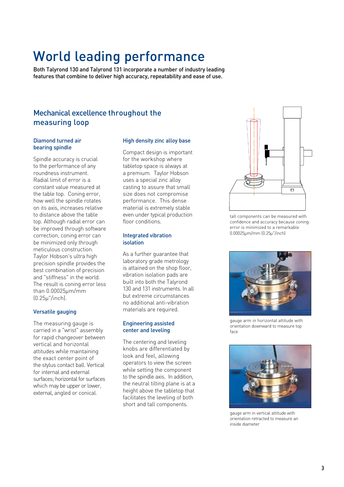# World leading performance

Both Talyrond 130 and Talyrond 131 incorporate a number of industry leading features that combine to deliver high accuracy, repeatability and ease of use.

# Mechanical excellence throughout the measuring loop

#### Diamond turned air bearing spindle

Spindle accuracy is crucial to the performance of any roundness instrument. Radial limit of error is a constant value measured at the table top. Coning error, how well the spindle rotates on its axis, increases relative to distance above the table top. Although radial error can be improved through software correction, coning error can be minimized only through meticulous construction. Taylor Hobson's ultra high precision spindle provides the best combination of precision and "stiffness" in the world. The result is coning error less than 0.00025µm/mm (0.25µ"/inch).

#### Versatile gauging

The measuring gauge is carried in a "wrist" assembly for rapid changeover between vertical and horizontal attitudes while maintaining the exact center point of the stylus contact ball. Vertical for internal and external surfaces; horizontal for surfaces which may be upper or lower, external, angled or conical.

#### High density zinc alloy base

Compact design is important for the workshop where tabletop space is always at a premium. Taylor Hobson uses a special zinc alloy casting to assure that small size does not compromise performance. This dense material is extremely stable even under typical production floor conditions.

#### Integrated vibration isolation

As a further guarantee that laboratory grade metrology is attained on the shop floor, vibration isolation pads are built into both the Talyrond 130 and 131 instruments. In all but extreme circumstances no additional anti-vibration materials are required.

#### Engineering assisted center and leveling

The centering and leveling knobs are differentiated by look and feel, allowing operators to view the screen while setting the component to the spindle axis. In addition, the neutral tilting plane is at a height above the tabletop that facilitates the leveling of both short and tall components.



tall components can be measured with confidence and accuracy because coning error is minimized to a remarkable 0.00025µm/mm (0.25µ"/inch)



gauge arm in horizontal attitude with orientation downward to measure top face



gauge arm in vertical attitude with orientation retracted to measure an inside diameter